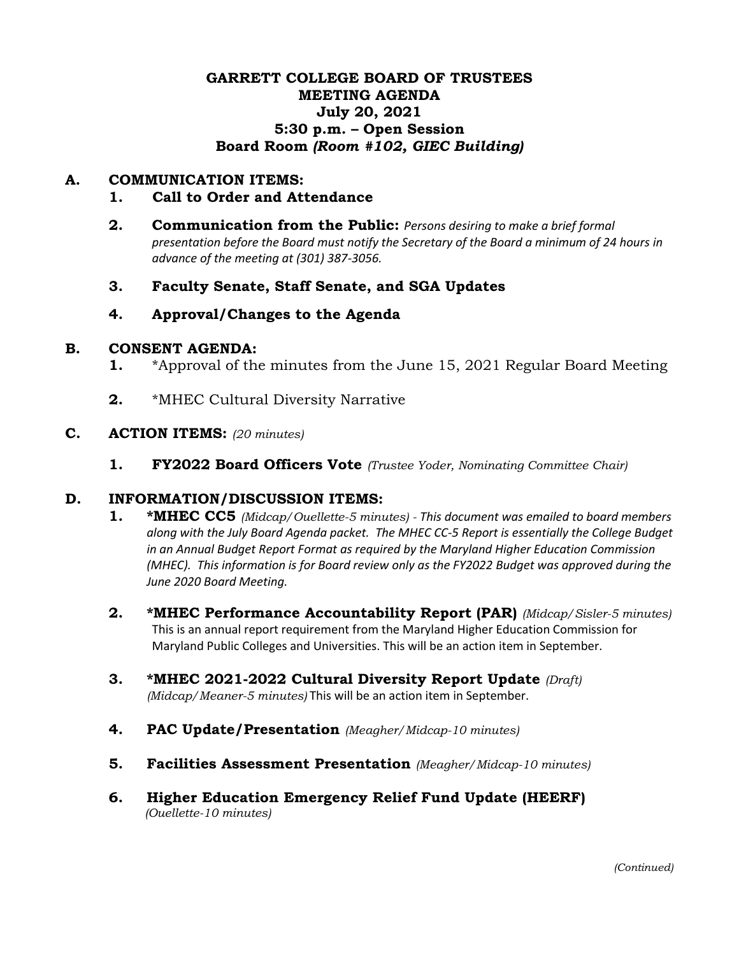## **GARRETT COLLEGE BOARD OF TRUSTEES MEETING AGENDA July 20, 2021 5:30 p.m. – Open Session Board Room** *(Room #102, GIEC Building)*

## **A. COMMUNICATION ITEMS:**

#### **1. Call to Order and Attendance**

- **2. Communication from the Public:** *Persons desiring to make a brief formal presentation before the Board must notify the Secretary of the Board a minimum of 24 hours in advance of the meeting at (301) 387-3056.*
- **3. Faculty Senate, Staff Senate, and SGA Updates**

### **4. Approval/Changes to the Agenda**

#### **B. CONSENT AGENDA:**

- **1.** \*Approval of the minutes from the June 15, 2021 Regular Board Meeting
- **2.** \*MHEC Cultural Diversity Narrative

#### **C. ACTION ITEMS:** *(20 minutes)*

**1. FY2022 Board Officers Vote** *(Trustee Yoder, Nominating Committee Chair)*

### **D. INFORMATION/DISCUSSION ITEMS:**

- **1. \*MHEC CC5** *(Midcap/Ouellette-5 minutes) - This document was emailed to board members along with the July Board Agenda packet. The MHEC CC-5 Report is essentially the College Budget in an Annual Budget Report Format as required by the Maryland Higher Education Commission (MHEC). This information is for Board review only as the FY2022 Budget was approved during the June 2020 Board Meeting.*
- **2. \*MHEC Performance Accountability Report (PAR)** *(Midcap/Sisler-5 minutes)* This is an annual report requirement from the Maryland Higher Education Commission for Maryland Public Colleges and Universities. This will be an action item in September.
- **3. \*MHEC 2021-2022 Cultural Diversity Report Update** *(Draft) (Midcap/Meaner-5 minutes)* This will be an action item in September.
- **4. PAC Update/Presentation** *(Meagher/Midcap-10 minutes)*
- **5. Facilities Assessment Presentation** *(Meagher/Midcap-10 minutes)*
- **6. Higher Education Emergency Relief Fund Update (HEERF)**  *(Ouellette-10 minutes)*

*(Continued)*